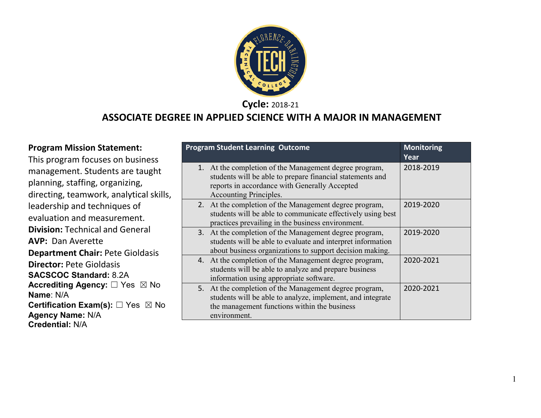

**Cycle:** 2018-21

#### **ASSOCIATE DEGREE IN APPLIED SCIENCE WITH A MAJOR IN MANAGEMENT**

#### **Program Mission Statement:** This program focuses on business management. Students are taught planning, staffing, organizing, directing, teamwork, analytical skills, leadership and techniques of evaluation and measurement. **Division:** Technical and General **AVP:** Dan Averette **Department Chair:** Pete Gioldasis **Director:** Pete Gioldasis **SACSCOC Standard:** 8.2A **Accrediting Agency:** ☐ Yes ☒ No **Name**: N/A **Certification Exam(s):** □ Yes ⊠ No **Agency Name:** N/A **Credential:** N/A

| <b>Program Student Learning Outcome</b>                                                                                                                                                        | <b>Monitoring</b><br>Year |
|------------------------------------------------------------------------------------------------------------------------------------------------------------------------------------------------|---------------------------|
| 1. At the completion of the Management degree program,<br>students will be able to prepare financial statements and<br>reports in accordance with Generally Accepted<br>Accounting Principles. | 2018-2019                 |
| 2. At the completion of the Management degree program,<br>students will be able to communicate effectively using best<br>practices prevailing in the business environment.                     | 2019-2020                 |
| 3. At the completion of the Management degree program,<br>students will be able to evaluate and interpret information<br>about business organizations to support decision making.              | 2019-2020                 |
| 4. At the completion of the Management degree program,<br>students will be able to analyze and prepare business<br>information using appropriate software.                                     | 2020-2021                 |
| 5. At the completion of the Management degree program,<br>students will be able to analyze, implement, and integrate<br>the management functions within the business<br>environment.           | 2020-2021                 |

1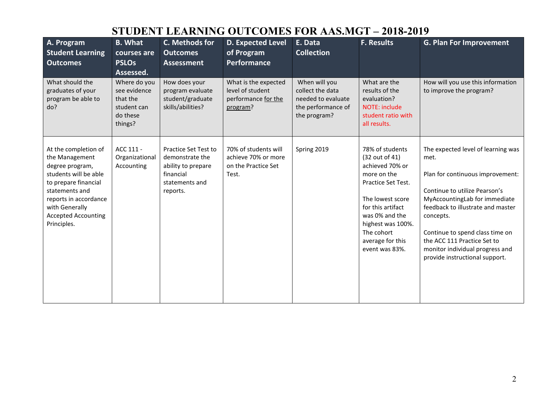## **STUDENT LEARNING OUTCOMES FOR AAS.MGT – 2018-2019**

| A. Program<br><b>Student Learning</b><br><b>Outcomes</b>                                                                                                                                                             | <b>B.</b> What<br>courses are<br><b>PSLOs</b><br>Assessed.                     | C. Methods for<br><b>Outcomes</b><br><b>Assessment</b>                                                          | <b>D. Expected Level</b><br>of Program<br>Performance                       | E. Data<br><b>Collection</b>                                                                  | <b>F. Results</b>                                                                                                                                                                                                             | <b>G. Plan For Improvement</b>                                                                                                                                                                                                                                                                                                            |
|----------------------------------------------------------------------------------------------------------------------------------------------------------------------------------------------------------------------|--------------------------------------------------------------------------------|-----------------------------------------------------------------------------------------------------------------|-----------------------------------------------------------------------------|-----------------------------------------------------------------------------------------------|-------------------------------------------------------------------------------------------------------------------------------------------------------------------------------------------------------------------------------|-------------------------------------------------------------------------------------------------------------------------------------------------------------------------------------------------------------------------------------------------------------------------------------------------------------------------------------------|
| What should the<br>graduates of your<br>program be able to<br>do?                                                                                                                                                    | Where do you<br>see evidence<br>that the<br>student can<br>do these<br>things? | How does your<br>program evaluate<br>student/graduate<br>skills/abilities?                                      | What is the expected<br>level of student<br>performance for the<br>program? | When will you<br>collect the data<br>needed to evaluate<br>the performance of<br>the program? | What are the<br>results of the<br>evaluation?<br>NOTE: include<br>student ratio with<br>all results.                                                                                                                          | How will you use this information<br>to improve the program?                                                                                                                                                                                                                                                                              |
| At the completion of<br>the Management<br>degree program,<br>students will be able<br>to prepare financial<br>statements and<br>reports in accordance<br>with Generally<br><b>Accepted Accounting</b><br>Principles. | ACC 111 -<br>Organizational<br>Accounting                                      | <b>Practice Set Test to</b><br>demonstrate the<br>ability to prepare<br>financial<br>statements and<br>reports. | 70% of students will<br>achieve 70% or more<br>on the Practice Set<br>Test. | Spring 2019                                                                                   | 78% of students<br>(32 out of 41)<br>achieved 70% or<br>more on the<br>Practice Set Test.<br>The lowest score<br>for this artifact<br>was 0% and the<br>highest was 100%.<br>The cohort<br>average for this<br>event was 83%. | The expected level of learning was<br>met.<br>Plan for continuous improvement:<br>Continue to utilize Pearson's<br>MyAccountingLab for immediate<br>feedback to illustrate and master<br>concepts.<br>Continue to spend class time on<br>the ACC 111 Practice Set to<br>monitor individual progress and<br>provide instructional support. |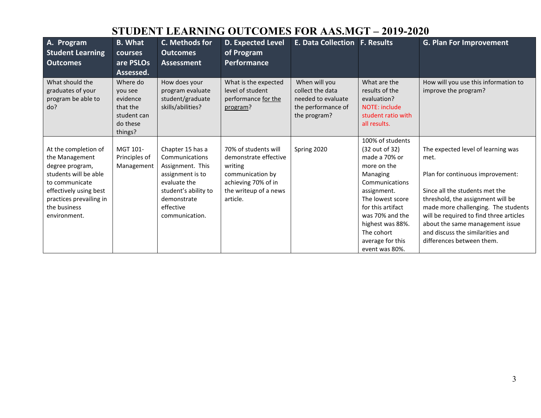## **STUDENT LEARNING OUTCOMES FOR AAS.MGT – 2019-2020**

| A. Program<br><b>Student Learning</b><br><b>Outcomes</b>                                                                                                                                  | <b>B.</b> What<br>courses<br>are PSLOs<br>Assessed.                               | C. Methods for<br><b>Outcomes</b><br><b>Assessment</b>                                                                                                           | <b>D. Expected Level</b><br>of Program<br><b>Performance</b>                                                                             | <b>E. Data Collection F. Results</b>                                                          |                                                                                                                                                                                                                                   | <b>G. Plan For Improvement</b>                                                                                                                                                                                                                                                                                                              |
|-------------------------------------------------------------------------------------------------------------------------------------------------------------------------------------------|-----------------------------------------------------------------------------------|------------------------------------------------------------------------------------------------------------------------------------------------------------------|------------------------------------------------------------------------------------------------------------------------------------------|-----------------------------------------------------------------------------------------------|-----------------------------------------------------------------------------------------------------------------------------------------------------------------------------------------------------------------------------------|---------------------------------------------------------------------------------------------------------------------------------------------------------------------------------------------------------------------------------------------------------------------------------------------------------------------------------------------|
| What should the<br>graduates of your<br>program be able to<br>do?                                                                                                                         | Where do<br>you see<br>evidence<br>that the<br>student can<br>do these<br>things? | How does your<br>program evaluate<br>student/graduate<br>skills/abilities?                                                                                       | What is the expected<br>level of student<br>performance for the<br>program?                                                              | When will you<br>collect the data<br>needed to evaluate<br>the performance of<br>the program? | What are the<br>results of the<br>evaluation?<br>NOTE: include<br>student ratio with<br>all results.                                                                                                                              | How will you use this information to<br>improve the program?                                                                                                                                                                                                                                                                                |
| At the completion of<br>the Management<br>degree program,<br>students will be able<br>to communicate<br>effectively using best<br>practices prevailing in<br>the business<br>environment. | MGT 101-<br>Principles of<br>Management                                           | Chapter 15 has a<br>Communications<br>Assignment. This<br>assignment is to<br>evaluate the<br>student's ability to<br>demonstrate<br>effective<br>communication. | 70% of students will<br>demonstrate effective<br>writing<br>communication by<br>achieving 70% of in<br>the writeup of a news<br>article. | Spring 2020                                                                                   | 100% of students<br>(32 out of 32)<br>made a 70% or<br>more on the<br>Managing<br>Communications<br>assignment.<br>The lowest score<br>for this artifact<br>was 70% and the<br>highest was 88%.<br>The cohort<br>average for this | The expected level of learning was<br>met.<br>Plan for continuous improvement:<br>Since all the students met the<br>threshold, the assignment will be<br>made more challenging. The students<br>will be required to find three articles<br>about the same management issue<br>and discuss the similarities and<br>differences between them. |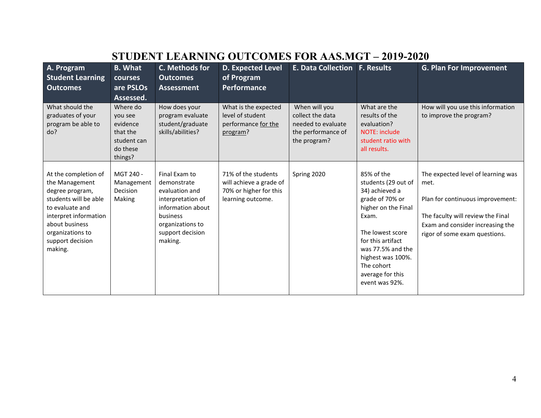# **STUDENT LEARNING OUTCOMES FOR AAS.MGT – 2019-2020**

| A. Program<br><b>Student Learning</b><br><b>Outcomes</b>                                                                                                                                            | <b>B.</b> What<br><b>courses</b><br>are PSLOs<br>Assessed.                        | C. Methods for<br><b>Outcomes</b><br>Assessment                                                                                                         | <b>D. Expected Level</b><br>of Program<br>Performance                                         | <b>E. Data Collection</b>                                                                     | <b>F. Results</b>                                                                                                                                                                                                                             | <b>G. Plan For Improvement</b>                                                                                                                                                           |
|-----------------------------------------------------------------------------------------------------------------------------------------------------------------------------------------------------|-----------------------------------------------------------------------------------|---------------------------------------------------------------------------------------------------------------------------------------------------------|-----------------------------------------------------------------------------------------------|-----------------------------------------------------------------------------------------------|-----------------------------------------------------------------------------------------------------------------------------------------------------------------------------------------------------------------------------------------------|------------------------------------------------------------------------------------------------------------------------------------------------------------------------------------------|
| What should the<br>graduates of your<br>program be able to<br>do?                                                                                                                                   | Where do<br>you see<br>evidence<br>that the<br>student can<br>do these<br>things? | How does your<br>program evaluate<br>student/graduate<br>skills/abilities?                                                                              | What is the expected<br>level of student<br>performance for the<br>program?                   | When will you<br>collect the data<br>needed to evaluate<br>the performance of<br>the program? | What are the<br>results of the<br>evaluation?<br>NOTE: include<br>student ratio with<br>all results.                                                                                                                                          | How will you use this information<br>to improve the program?                                                                                                                             |
| At the completion of<br>the Management<br>degree program,<br>students will be able<br>to evaluate and<br>interpret information<br>about business<br>organizations to<br>support decision<br>making. | MGT 240 -<br>Management<br>Decision<br>Making                                     | Final Exam to<br>demonstrate<br>evaluation and<br>interpretation of<br>information about<br>business<br>organizations to<br>support decision<br>making. | 71% of the students<br>will achieve a grade of<br>70% or higher for this<br>learning outcome. | Spring 2020                                                                                   | 85% of the<br>students (29 out of<br>34) achieved a<br>grade of 70% or<br>higher on the Final<br>Exam.<br>The lowest score<br>for this artifact<br>was 77.5% and the<br>highest was 100%.<br>The cohort<br>average for this<br>event was 92%. | The expected level of learning was<br>met.<br>Plan for continuous improvement:<br>The faculty will review the Final<br>Exam and consider increasing the<br>rigor of some exam questions. |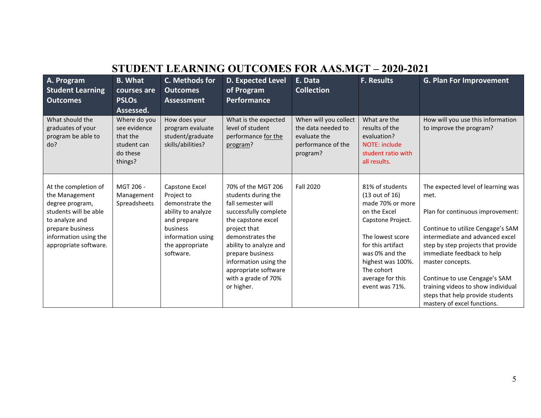## **STUDENT LEARNING OUTCOMES FOR AAS.MGT – 2020-2021**

| A. Program<br><b>Student Learning</b><br><b>Outcomes</b>                                                                                                                   | <b>B.</b> What<br>courses are<br><b>PSLOs</b><br>Assessed.                     | C. Methods for<br><b>Outcomes</b><br><b>Assessment</b>                                                                                                | <b>D. Expected Level</b><br>of Program<br>Performance                                                                                                                                                                                                                                  | E. Data<br><b>Collection</b>                                                                  | <b>F. Results</b>                                                                                                                                                                                                              | <b>G. Plan For Improvement</b>                                                                                                                                                                                                                                                                                                                                                           |
|----------------------------------------------------------------------------------------------------------------------------------------------------------------------------|--------------------------------------------------------------------------------|-------------------------------------------------------------------------------------------------------------------------------------------------------|----------------------------------------------------------------------------------------------------------------------------------------------------------------------------------------------------------------------------------------------------------------------------------------|-----------------------------------------------------------------------------------------------|--------------------------------------------------------------------------------------------------------------------------------------------------------------------------------------------------------------------------------|------------------------------------------------------------------------------------------------------------------------------------------------------------------------------------------------------------------------------------------------------------------------------------------------------------------------------------------------------------------------------------------|
| What should the<br>graduates of your<br>program be able to<br>do?                                                                                                          | Where do you<br>see evidence<br>that the<br>student can<br>do these<br>things? | How does your<br>program evaluate<br>student/graduate<br>skills/abilities?                                                                            | What is the expected<br>level of student<br>performance for the<br>program?                                                                                                                                                                                                            | When will you collect<br>the data needed to<br>evaluate the<br>performance of the<br>program? | What are the<br>results of the<br>evaluation?<br><b>NOTE: include</b><br>student ratio with<br>all results.                                                                                                                    | How will you use this information<br>to improve the program?                                                                                                                                                                                                                                                                                                                             |
| At the completion of<br>the Management<br>degree program,<br>students will be able<br>to analyze and<br>prepare business<br>information using the<br>appropriate software. | MGT 206 -<br>Management<br>Spreadsheets                                        | Capstone Excel<br>Project to<br>demonstrate the<br>ability to analyze<br>and prepare<br>business<br>information using<br>the appropriate<br>software. | 70% of the MGT 206<br>students during the<br>fall semester will<br>successfully complete<br>the capstone excel<br>project that<br>demonstrates the<br>ability to analyze and<br>prepare business<br>information using the<br>appropriate software<br>with a grade of 70%<br>or higher. | <b>Fall 2020</b>                                                                              | 81% of students<br>(13 out of 16)<br>made 70% or more<br>on the Excel<br>Capstone Project.<br>The lowest score<br>for this artifact<br>was 0% and the<br>highest was 100%.<br>The cohort<br>average for this<br>event was 71%. | The expected level of learning was<br>met.<br>Plan for continuous improvement:<br>Continue to utilize Cengage's SAM<br>intermediate and advanced excel<br>step by step projects that provide<br>immediate feedback to help<br>master concepts.<br>Continue to use Cengage's SAM<br>training videos to show individual<br>steps that help provide students<br>mastery of excel functions. |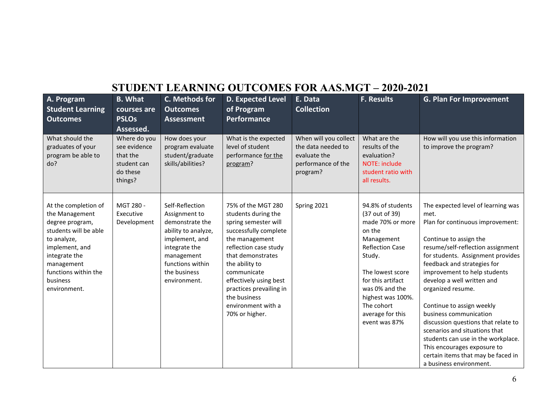# **STUDENT LEARNING OUTCOMES FOR AAS.MGT – 2020-2021**

| A. Program<br><b>Student Learning</b><br><b>Outcomes</b>                                                                                                                                               | <b>B.</b> What<br>courses are<br><b>PSLOs</b><br>Assessed.                     | C. Methods for<br><b>Outcomes</b><br><b>Assessment</b>                                                                                                                          | <b>D. Expected Level</b><br>of Program<br><b>Performance</b>                                                                                                                                                                                                                                             | E. Data<br><b>Collection</b>                                                                  | <b>F. Results</b>                                                                                                                                                                                                                                      | <b>G. Plan For Improvement</b>                                                                                                                                                                                                                                                                                                                                                                                                                                                                                                                                            |
|--------------------------------------------------------------------------------------------------------------------------------------------------------------------------------------------------------|--------------------------------------------------------------------------------|---------------------------------------------------------------------------------------------------------------------------------------------------------------------------------|----------------------------------------------------------------------------------------------------------------------------------------------------------------------------------------------------------------------------------------------------------------------------------------------------------|-----------------------------------------------------------------------------------------------|--------------------------------------------------------------------------------------------------------------------------------------------------------------------------------------------------------------------------------------------------------|---------------------------------------------------------------------------------------------------------------------------------------------------------------------------------------------------------------------------------------------------------------------------------------------------------------------------------------------------------------------------------------------------------------------------------------------------------------------------------------------------------------------------------------------------------------------------|
| What should the<br>graduates of your<br>program be able to<br>do?                                                                                                                                      | Where do you<br>see evidence<br>that the<br>student can<br>do these<br>things? | How does your<br>program evaluate<br>student/graduate<br>skills/abilities?                                                                                                      | What is the expected<br>level of student<br>performance for the<br>program?                                                                                                                                                                                                                              | When will you collect<br>the data needed to<br>evaluate the<br>performance of the<br>program? | What are the<br>results of the<br>evaluation?<br><b>NOTE: include</b><br>student ratio with<br>all results.                                                                                                                                            | How will you use this information<br>to improve the program?                                                                                                                                                                                                                                                                                                                                                                                                                                                                                                              |
| At the completion of<br>the Management<br>degree program,<br>students will be able<br>to analyze,<br>implement, and<br>integrate the<br>management<br>functions within the<br>business<br>environment. | MGT 280 -<br>Executive<br>Development                                          | Self-Reflection<br>Assignment to<br>demonstrate the<br>ability to analyze,<br>implement, and<br>integrate the<br>management<br>functions within<br>the business<br>environment. | 75% of the MGT 280<br>students during the<br>spring semester will<br>successfully complete<br>the management<br>reflection case study<br>that demonstrates<br>the ability to<br>communicate<br>effectively using best<br>practices prevailing in<br>the business<br>environment with a<br>70% or higher. | Spring 2021                                                                                   | 94.8% of students<br>(37 out of 39)<br>made 70% or more<br>on the<br>Management<br><b>Reflection Case</b><br>Study.<br>The lowest score<br>for this artifact<br>was 0% and the<br>highest was 100%.<br>The cohort<br>average for this<br>event was 87% | The expected level of learning was<br>met.<br>Plan for continuous improvement:<br>Continue to assign the<br>resume/self-reflection assignment<br>for students. Assignment provides<br>feedback and strategies for<br>improvement to help students<br>develop a well written and<br>organized resume.<br>Continue to assign weekly<br>business communication<br>discussion questions that relate to<br>scenarios and situations that<br>students can use in the workplace.<br>This encourages exposure to<br>certain items that may be faced in<br>a business environment. |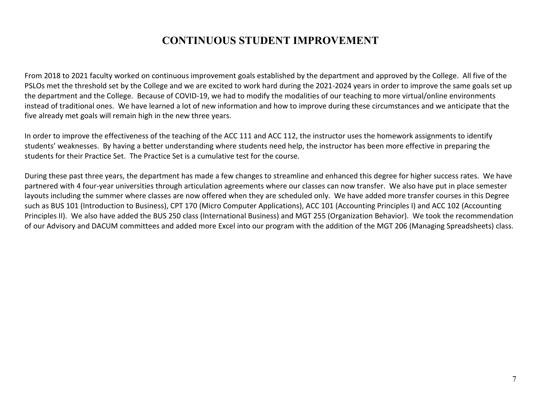## **CONTINUOUS STUDENT IMPROVEMENT**

From 2018 to 2021 faculty worked on continuous improvement goals established by the department and approved by the College. All five of the PSLOs met the threshold set by the College and we are excited to work hard during the 2021-2024 years in order to improve the same goals set up the department and the College. Because of COVID-19, we had to modify the modalities of our teaching to more virtual/online environments instead of traditional ones. We have learned a lot of new information and how to improve during these circumstances and we anticipate that the five already met goals will remain high in the new three years.

In order to improve the effectiveness of the teaching of the ACC 111 and ACC 112, the instructor uses the homework assignments to identify students' weaknesses. By having a better understanding where students need help, the instructor has been more effective in preparing the students for their Practice Set. The Practice Set is a cumulative test for the course.

During these past three years, the department has made a few changes to streamline and enhanced this degree for higher success rates. We have partnered with 4 four-year universities through articulation agreements where our classes can now transfer. We also have put in place semester layouts including the summer where classes are now offered when they are scheduled only. We have added more transfer courses in this Degree such as BUS 101 (Introduction to Business), CPT 170 (Micro Computer Applications), ACC 101 (Accounting Principles I) and ACC 102 (Accounting Principles II). We also have added the BUS 250 class (International Business) and MGT 255 (Organization Behavior). We took the recommendation of our Advisory and DACUM committees and added more Excel into our program with the addition of the MGT 206 (Managing Spreadsheets) class.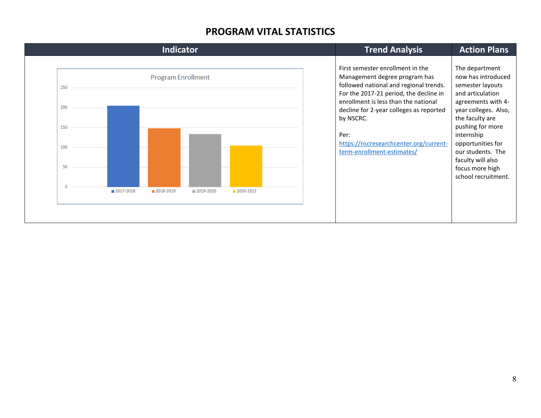### **PROGRAM VITAL STATISTICS**

|                                |           | <b>Indicator</b>                       | <b>Trend Analysis</b> | <b>Action Plans</b> |  |                                                                                                                                                                                                                                                                                                                                       |                                                                                                                                                                                                                                                                                          |
|--------------------------------|-----------|----------------------------------------|-----------------------|---------------------|--|---------------------------------------------------------------------------------------------------------------------------------------------------------------------------------------------------------------------------------------------------------------------------------------------------------------------------------------|------------------------------------------------------------------------------------------------------------------------------------------------------------------------------------------------------------------------------------------------------------------------------------------|
| 250<br>200<br>150<br>100<br>50 | 2017-2018 | <b>Program Enrollment</b><br>2018-2019 | 2019-2020             | 2020-2021           |  | First semester enrollment in the<br>Management degree program has<br>followed national and regional trends.<br>For the 2017-21 period, the decline in<br>enrollment is less than the national<br>decline for 2-year colleges as reported<br>by NSCRC.<br>Per:<br>https://nscresearchcenter.org/current-<br>term-enrollment-estimates/ | The department<br>now has introduced<br>semester layouts<br>and articulation<br>agreements with 4-<br>year colleges. Also,<br>the faculty are<br>pushing for more<br>internship<br>opportunities for<br>our students. The<br>faculty will also<br>focus more high<br>school recruitment. |
|                                |           |                                        |                       |                     |  |                                                                                                                                                                                                                                                                                                                                       |                                                                                                                                                                                                                                                                                          |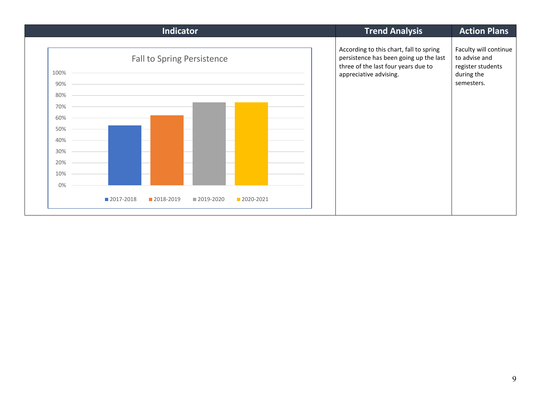| Indicator                                                                                         | <b>Trend Analysis</b>                                                                                                                              | <b>Action Plans</b>                                                                     |  |
|---------------------------------------------------------------------------------------------------|----------------------------------------------------------------------------------------------------------------------------------------------------|-----------------------------------------------------------------------------------------|--|
| <b>Fall to Spring Persistence</b><br>100%<br>90%<br>80%<br>70%<br>60%<br>50%<br>40%<br>30%<br>20% | According to this chart, fall to spring<br>persistence has been going up the last<br>three of the last four years due to<br>appreciative advising. | Faculty will continue<br>to advise and<br>register students<br>during the<br>semesters. |  |
| 10%                                                                                               |                                                                                                                                                    |                                                                                         |  |
| 0%<br>2017-2018<br>2018-2019<br>2019-2020<br>2020-2021                                            |                                                                                                                                                    |                                                                                         |  |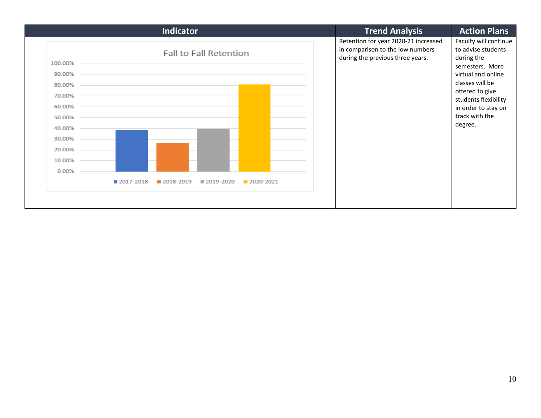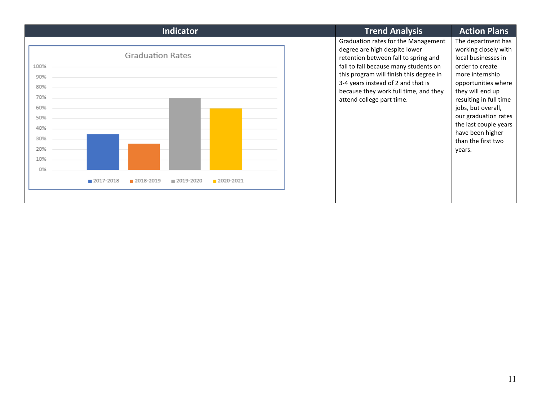